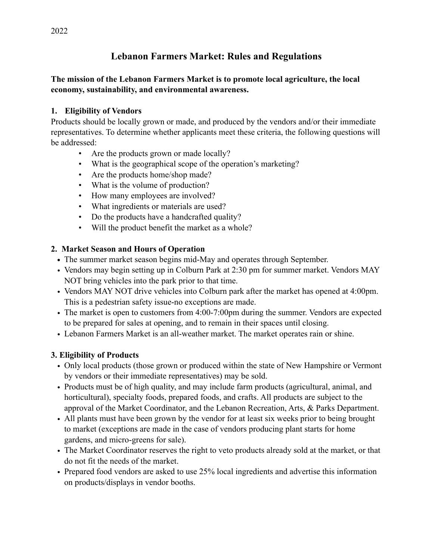# **Lebanon Farmers Market: Rules and Regulations**

#### **The mission of the Lebanon Farmers Market is to promote local agriculture, the local economy, sustainability, and environmental awareness.**

#### **1. Eligibility of Vendors**

Products should be locally grown or made, and produced by the vendors and/or their immediate representatives. To determine whether applicants meet these criteria, the following questions will be addressed:

- Are the products grown or made locally?
- What is the geographical scope of the operation's marketing?
- Are the products home/shop made?
- What is the volume of production?
- How many employees are involved?
- What ingredients or materials are used?
- Do the products have a handcrafted quality?
- Will the product benefit the market as a whole?

### **2. Market Season and Hours of Operation**

- **•** The summer market season begins mid-May and operates through September.
- Vendors may begin setting up in Colburn Park at 2:30 pm for summer market. Vendors MAY NOT bring vehicles into the park prior to that time.
- Vendors MAY NOT drive vehicles into Colburn park after the market has opened at 4:00pm. This is a pedestrian safety issue-no exceptions are made.
- The market is open to customers from 4:00-7:00pm during the summer. Vendors are expected to be prepared for sales at opening, and to remain in their spaces until closing.
- Lebanon Farmers Market is an all-weather market. The market operates rain or shine.

# **3. Eligibility of Products**

- Only local products (those grown or produced within the state of New Hampshire or Vermont by vendors or their immediate representatives) may be sold.
- Products must be of high quality, and may include farm products (agricultural, animal, and horticultural), specialty foods, prepared foods, and crafts. All products are subject to the approval of the Market Coordinator, and the Lebanon Recreation, Arts, & Parks Department.
- All plants must have been grown by the vendor for at least six weeks prior to being brought to market (exceptions are made in the case of vendors producing plant starts for home gardens, and micro-greens for sale).
- The Market Coordinator reserves the right to veto products already sold at the market, or that do not fit the needs of the market.
- Prepared food vendors are asked to use 25% local ingredients and advertise this information on products/displays in vendor booths.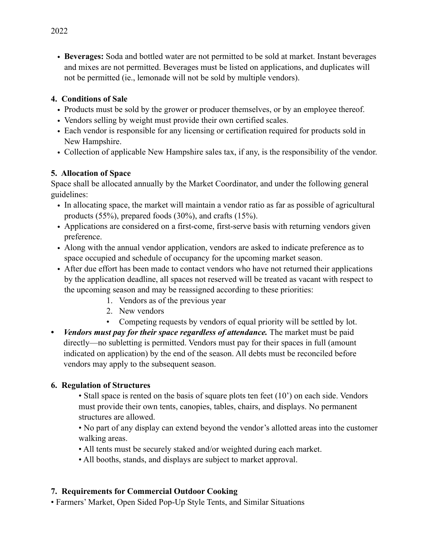• **Beverages:** Soda and bottled water are not permitted to be sold at market. Instant beverages and mixes are not permitted. Beverages must be listed on applications, and duplicates will not be permitted (ie., lemonade will not be sold by multiple vendors).

### **4. Conditions of Sale**

- Products must be sold by the grower or producer themselves, or by an employee thereof.
- Vendors selling by weight must provide their own certified scales.
- Each vendor is responsible for any licensing or certification required for products sold in New Hampshire.
- Collection of applicable New Hampshire sales tax, if any, is the responsibility of the vendor.

### **5. Allocation of Space**

Space shall be allocated annually by the Market Coordinator, and under the following general guidelines:

- In allocating space, the market will maintain a vendor ratio as far as possible of agricultural products (55%), prepared foods (30%), and crafts (15%).
- Applications are considered on a first-come, first-serve basis with returning vendors given preference.
- Along with the annual vendor application, vendors are asked to indicate preference as to space occupied and schedule of occupancy for the upcoming market season.
- After due effort has been made to contact vendors who have not returned their applications by the application deadline, all spaces not reserved will be treated as vacant with respect to the upcoming season and may be reassigned according to these priorities:
	- 1. Vendors as of the previous year
	- 2. New vendors
	- Competing requests by vendors of equal priority will be settled by lot.
- *Vendors must pay for their space regardless of attendance*. The market must be paid directly—no subletting is permitted. Vendors must pay for their spaces in full (amount indicated on application) by the end of the season. All debts must be reconciled before vendors may apply to the subsequent season.

#### **6. Regulation of Structures**

• Stall space is rented on the basis of square plots ten feet (10') on each side. Vendors must provide their own tents, canopies, tables, chairs, and displays. No permanent structures are allowed.

• No part of any display can extend beyond the vendor's allotted areas into the customer walking areas.

- All tents must be securely staked and/or weighted during each market.
- All booths, stands, and displays are subject to market approval.

# **7. Requirements for Commercial Outdoor Cooking**

• Farmers' Market, Open Sided Pop-Up Style Tents, and Similar Situations